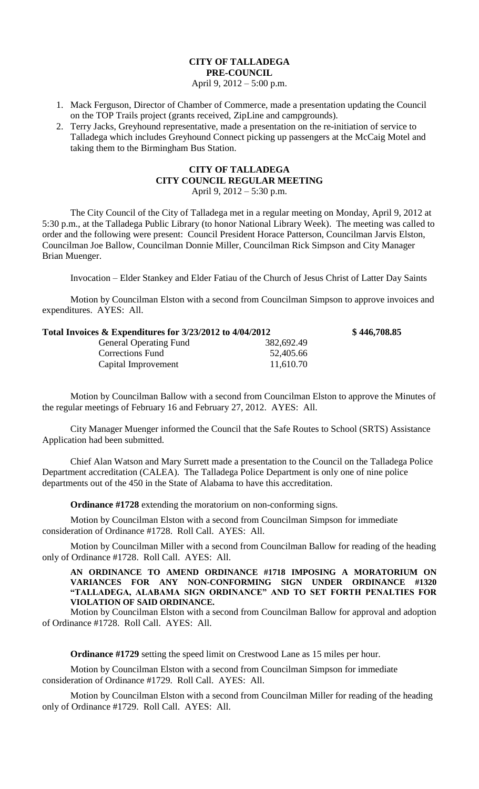# **CITY OF TALLADEGA PRE-COUNCIL** April 9, 2012 – 5:00 p.m.

- 1. Mack Ferguson, Director of Chamber of Commerce, made a presentation updating the Council on the TOP Trails project (grants received, ZipLine and campgrounds).
- 2. Terry Jacks, Greyhound representative, made a presentation on the re-initiation of service to Talladega which includes Greyhound Connect picking up passengers at the McCaig Motel and taking them to the Birmingham Bus Station.

## **CITY OF TALLADEGA CITY COUNCIL REGULAR MEETING** April 9, 2012 – 5:30 p.m.

The City Council of the City of Talladega met in a regular meeting on Monday, April 9, 2012 at 5:30 p.m., at the Talladega Public Library (to honor National Library Week). The meeting was called to order and the following were present: Council President Horace Patterson, Councilman Jarvis Elston, Councilman Joe Ballow, Councilman Donnie Miller, Councilman Rick Simpson and City Manager Brian Muenger.

Invocation – Elder Stankey and Elder Fatiau of the Church of Jesus Christ of Latter Day Saints

Motion by Councilman Elston with a second from Councilman Simpson to approve invoices and expenditures. AYES: All.

# **Total Invoices & Expenditures for 3/23/2012 to 4/04/2012 \$ 446,708.85** General Operating Fund 382,692.49

| $\cos \alpha$ expenditures for $\sin 2\theta$ and $\sin 2\theta$ to $\sin 2\theta$ for |            |
|----------------------------------------------------------------------------------------|------------|
| <b>General Operating Fund</b>                                                          | 382,692.49 |
| Corrections Fund                                                                       | 52,405.66  |
| Capital Improvement                                                                    | 11,610.70  |

Motion by Councilman Ballow with a second from Councilman Elston to approve the Minutes of the regular meetings of February 16 and February 27, 2012. AYES: All.

City Manager Muenger informed the Council that the Safe Routes to School (SRTS) Assistance Application had been submitted.

Chief Alan Watson and Mary Surrett made a presentation to the Council on the Talladega Police Department accreditation (CALEA). The Talladega Police Department is only one of nine police departments out of the 450 in the State of Alabama to have this accreditation.

**Ordinance #1728** extending the moratorium on non-conforming signs.

Motion by Councilman Elston with a second from Councilman Simpson for immediate consideration of Ordinance #1728. Roll Call. AYES: All.

Motion by Councilman Miller with a second from Councilman Ballow for reading of the heading only of Ordinance #1728. Roll Call. AYES: All.

## **AN ORDINANCE TO AMEND ORDINANCE #1718 IMPOSING A MORATORIUM ON VARIANCES FOR ANY NON-CONFORMING SIGN UNDER ORDINANCE #1320 "TALLADEGA, ALABAMA SIGN ORDINANCE" AND TO SET FORTH PENALTIES FOR VIOLATION OF SAID ORDINANCE.**

Motion by Councilman Elston with a second from Councilman Ballow for approval and adoption of Ordinance #1728. Roll Call. AYES: All.

**Ordinance #1729** setting the speed limit on Crestwood Lane as 15 miles per hour.

Motion by Councilman Elston with a second from Councilman Simpson for immediate consideration of Ordinance #1729. Roll Call. AYES: All.

Motion by Councilman Elston with a second from Councilman Miller for reading of the heading only of Ordinance #1729. Roll Call. AYES: All.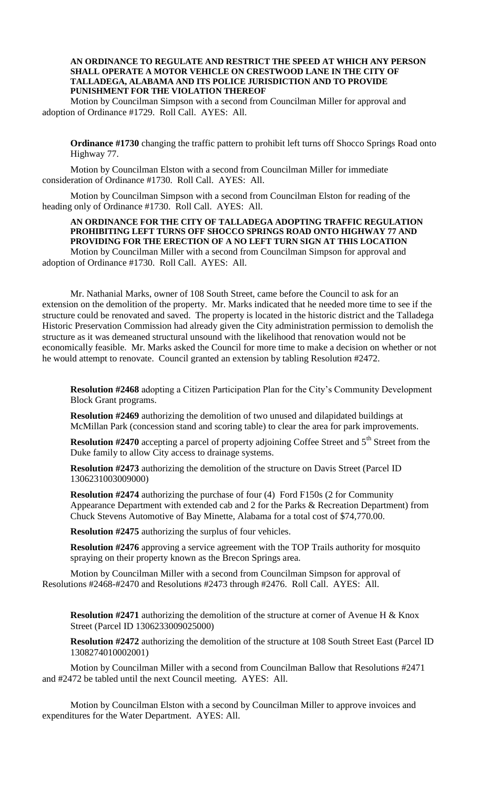## **AN ORDINANCE TO REGULATE AND RESTRICT THE SPEED AT WHICH ANY PERSON SHALL OPERATE A MOTOR VEHICLE ON CRESTWOOD LANE IN THE CITY OF TALLADEGA, ALABAMA AND ITS POLICE JURISDICTION AND TO PROVIDE PUNISHMENT FOR THE VIOLATION THEREOF**

Motion by Councilman Simpson with a second from Councilman Miller for approval and adoption of Ordinance #1729. Roll Call. AYES: All.

**Ordinance #1730** changing the traffic pattern to prohibit left turns off Shocco Springs Road onto Highway 77.

Motion by Councilman Elston with a second from Councilman Miller for immediate consideration of Ordinance #1730. Roll Call. AYES: All.

Motion by Councilman Simpson with a second from Councilman Elston for reading of the heading only of Ordinance #1730. Roll Call. AYES: All.

### **AN ORDINANCE FOR THE CITY OF TALLADEGA ADOPTING TRAFFIC REGULATION PROHIBITING LEFT TURNS OFF SHOCCO SPRINGS ROAD ONTO HIGHWAY 77 AND PROVIDING FOR THE ERECTION OF A NO LEFT TURN SIGN AT THIS LOCATION** Motion by Councilman Miller with a second from Councilman Simpson for approval and

adoption of Ordinance #1730. Roll Call. AYES: All.

Mr. Nathanial Marks, owner of 108 South Street, came before the Council to ask for an extension on the demolition of the property. Mr. Marks indicated that he needed more time to see if the structure could be renovated and saved. The property is located in the historic district and the Talladega Historic Preservation Commission had already given the City administration permission to demolish the structure as it was demeaned structural unsound with the likelihood that renovation would not be economically feasible. Mr. Marks asked the Council for more time to make a decision on whether or not he would attempt to renovate. Council granted an extension by tabling Resolution #2472.

**Resolution #2468** adopting a Citizen Participation Plan for the City's Community Development Block Grant programs.

**Resolution #2469** authorizing the demolition of two unused and dilapidated buildings at McMillan Park (concession stand and scoring table) to clear the area for park improvements.

**Resolution #2470** accepting a parcel of property adjoining Coffee Street and 5<sup>th</sup> Street from the Duke family to allow City access to drainage systems.

**Resolution #2473** authorizing the demolition of the structure on Davis Street (Parcel ID 1306231003009000)

**Resolution #2474** authorizing the purchase of four (4) Ford F150s (2 for Community Appearance Department with extended cab and 2 for the Parks & Recreation Department) from Chuck Stevens Automotive of Bay Minette, Alabama for a total cost of \$74,770.00.

**Resolution #2475** authorizing the surplus of four vehicles.

**Resolution #2476** approving a service agreement with the TOP Trails authority for mosquito spraying on their property known as the Brecon Springs area.

Motion by Councilman Miller with a second from Councilman Simpson for approval of Resolutions #2468-#2470 and Resolutions #2473 through #2476. Roll Call. AYES: All.

**Resolution #2471** authorizing the demolition of the structure at corner of Avenue H & Knox Street (Parcel ID 1306233009025000)

**Resolution #2472** authorizing the demolition of the structure at 108 South Street East (Parcel ID 1308274010002001)

Motion by Councilman Miller with a second from Councilman Ballow that Resolutions #2471 and #2472 be tabled until the next Council meeting. AYES: All.

Motion by Councilman Elston with a second by Councilman Miller to approve invoices and expenditures for the Water Department. AYES: All.